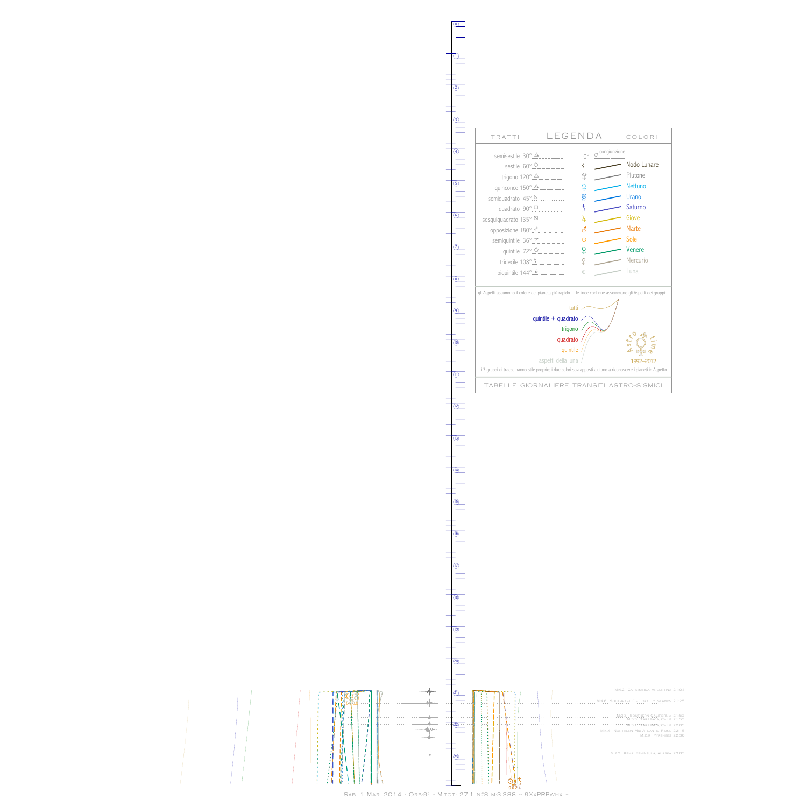0

1



13

 $\frac{1}{\frac{1}{\frac{1}{2}}\frac{1}{\frac{1}{2}}\frac{1}{\frac{1}{2}}\frac{1}{\frac{1}{2}}\frac{1}{\frac{1}{2}}\frac{1}{\frac{1}{2}}\frac{1}{\frac{1}{2}}\frac{1}{\frac{1}{2}}\frac{1}{\frac{1}{2}}\frac{1}{\frac{1}{2}}\frac{1}{\frac{1}{2}}\frac{1}{\frac{1}{2}}\frac{1}{\frac{1}{2}}\frac{1}{\frac{1}{2}}\frac{1}{\frac{1}{2}}\frac{1}{\frac{1}{2}}\frac{1}{\frac{1}{2}}\frac{1}{\frac{1}{2$ 



Sab. 1 Mar. 2014 - Orb:9° - M.tot: 27.1 n#8 m:3.388 -: 9XxPRPwhx :-